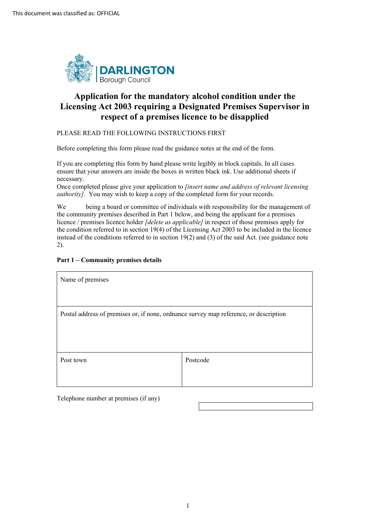

## **Application for the mandatory alcohol condition under the Licensing Act 2003 requiring a Designated Premises Supervisor in respect of a premises licence to be disapplied**

#### PLEASE READ THE FOLLOWING INSTRUCTIONS FIRST

Before completing this form please read the guidance notes at the end of the form.

 If you are completing this form by hand please write legibly in block capitals. In all cases ensure that your answers are inside the boxes in written black ink. Use additional sheets if necessary.

 Once completed please give your application to *[insert name and address of relevant licensing authority]*. You may wish to keep a copy of the completed form for your records.

 We being a board or committee of individuals with responsibility for the management of the community premises described in Part 1 below, and being the applicant for a premises licence / premises licence holder *[delete as applicable]* in respect of those premises apply for instead of the conditions referred to in section 19(2) and (3) of the said Act. (see guidance note 2). the condition referred to in section 19(4) of the Licensing Act 2003 to be included in the licence

#### **Part 1 – Community premises details**

| Name of premises                                                                      |          |  |
|---------------------------------------------------------------------------------------|----------|--|
|                                                                                       |          |  |
| Postal address of premises or, if none, ordnance survey map reference, or description |          |  |
|                                                                                       |          |  |
|                                                                                       |          |  |
| Post town                                                                             | Postcode |  |
|                                                                                       |          |  |

Telephone number at premises (if any) Telephone number at premises (if any)<br>  $1$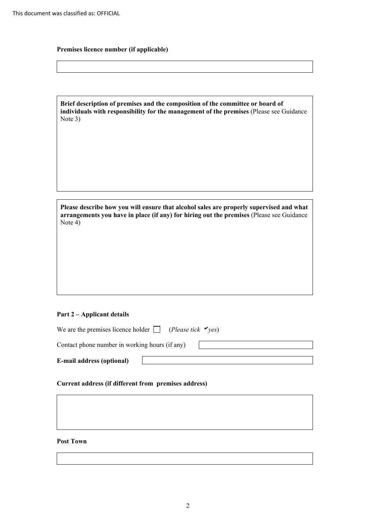### **Premises licence number (if applicable)**

| Brief description of premises and the composition of the committee or board of          |
|-----------------------------------------------------------------------------------------|
| individuals with responsibility for the management of the premises (Please see Guidance |
| Note $3)$                                                                               |

| Please describe how you will ensure that alcohol sales are properly supervised and what  |
|------------------------------------------------------------------------------------------|
| arrangements you have in place (if any) for hiring out the premises (Please see Guidance |
| Note $4)$                                                                                |

#### **Part 2 – Applicant details**

| We are the premises licence holder $\Box$<br>(Please tick $\mathbf{v}_{\text{res}}$ ) |  |  |  |
|---------------------------------------------------------------------------------------|--|--|--|
| Contact phone number in working hours (if any)                                        |  |  |  |
| <b>E-mail address (optional)</b>                                                      |  |  |  |

# **E-mail address (optional)** <br>Current address (if different from premises address)

#### **Post Town**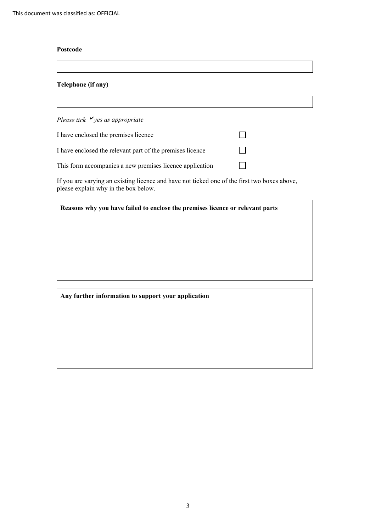#### **Postcode**

#### **Telephone (if any)**

*Please tick yes as appropriate* 

| I have enclosed the premises licence                                                         |  |
|----------------------------------------------------------------------------------------------|--|
| I have enclosed the relevant part of the premises licence                                    |  |
| This form accompanies a new premises licence application                                     |  |
| If you are varying an existing licence and have not ticked one of the first two boxes above, |  |

please explain why in the box below.

|  |  | Reasons why you have failed to enclose the premises licence or relevant parts |
|--|--|-------------------------------------------------------------------------------|
|  |  |                                                                               |

#### **Any further information to support your application**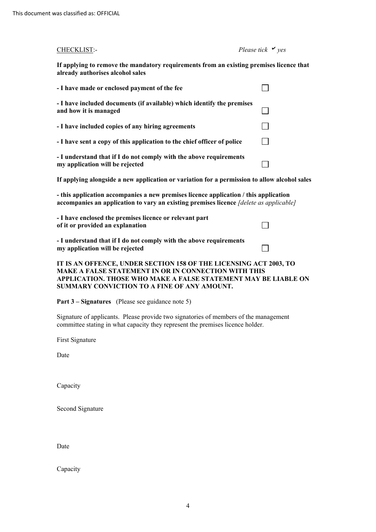| already authorises alcohol sales                                                                                                                                                                                                                  |  |  |
|---------------------------------------------------------------------------------------------------------------------------------------------------------------------------------------------------------------------------------------------------|--|--|
| - I have made or enclosed payment of the fee                                                                                                                                                                                                      |  |  |
| - I have included documents (if available) which identify the premises<br>and how it is managed                                                                                                                                                   |  |  |
| - I have included copies of any hiring agreements                                                                                                                                                                                                 |  |  |
| - I have sent a copy of this application to the chief officer of police                                                                                                                                                                           |  |  |
| - I understand that if I do not comply with the above requirements<br>my application will be rejected                                                                                                                                             |  |  |
| If applying alongside a new application or variation for a permission to allow alcohol sales                                                                                                                                                      |  |  |
| - this application accompanies a new premises licence application / this application<br>accompanies an application to vary an existing premises licence [delete as applicable]                                                                    |  |  |
| - I have enclosed the premises licence or relevant part<br>of it or provided an explanation                                                                                                                                                       |  |  |
| - I understand that if I do not comply with the above requirements<br>my application will be rejected                                                                                                                                             |  |  |
| IT IS AN OFFENCE, UNDER SECTION 158 OF THE LICENSING ACT 2003, TO<br><b>MAKE A FALSE STATEMENT IN OR IN CONNECTION WITH THIS</b><br>APPLICATION. THOSE WHO MAKE A FALSE STATEMENT MAY BE LIABLE ON<br>SUMMARY CONVICTION TO A FINE OF ANY AMOUNT. |  |  |

 **If applying to remove the mandatory requirements from an existing premises licence that** 

CHECKLIST:- *Please tick yes* 

**Part 3 – Signatures** (Please see guidance note 5)

Signature of applicants. Please provide two signatories of members of the management committee stating in what capacity they represent the premises licence holder.

First Signature

Date

Capacity

Second Signature

Date

Capacity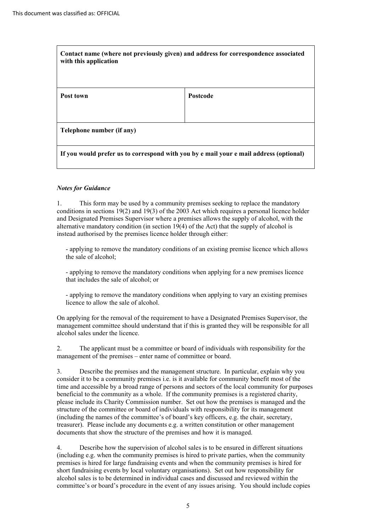| Contact name (where not previously given) and address for correspondence associated<br>with this application |                 |  |
|--------------------------------------------------------------------------------------------------------------|-----------------|--|
| Post town                                                                                                    | <b>Postcode</b> |  |
|                                                                                                              |                 |  |
| Telephone number (if any)                                                                                    |                 |  |
| If you would prefer us to correspond with you by e mail your e mail address (optional)                       |                 |  |

#### *Notes for Guidance*

 conditions in sections 19(2) and 19(3) of the 2003 Act which requires a personal licence holder and Designated Premises Supervisor where a premises allows the supply of alcohol, with the 1. This form may be used by a community premises seeking to replace the mandatory alternative mandatory condition (in section  $19(4)$  of the Act) that the supply of alcohol is instead authorised by the premises licence holder through either:

- applying to remove the mandatory conditions of an existing premise licence which allows the sale of alcohol;

- applying to remove the mandatory conditions when applying for a new premises licence that includes the sale of alcohol; or

- applying to remove the mandatory conditions when applying to vary an existing premises licence to allow the sale of alcohol.

 alcohol sales under the licence. On applying for the removal of the requirement to have a Designated Premises Supervisor, the management committee should understand that if this is granted they will be responsible for all

 2. The applicant must be a committee or board of individuals with responsibility for the management of the premises – enter name of committee or board.

 beneficial to the community as a whole. If the community premises is a registered charity, please include its Charity Commission number. Set out how the premises is managed and the (including the names of the committee's of board's key officers, e.g. the chair, secretary, treasurer). Please include any documents e.g. a written constitution or other management 3. Describe the premises and the management structure. In particular, explain why you consider it to be a community premises i.e. is it available for community benefit most of the time and accessible by a broad range of persons and sectors of the local community for purposes structure of the committee or board of individuals with responsibility for its management documents that show the structure of the premises and how it is managed.

 (including e.g. when the community premises is hired to private parties, when the community premises is hired for large fundraising events and when the community premises is hired for alcohol sales is to be determined in individual cases and discussed and reviewed within the committee's or board's procedure in the event of any issues arising. You should include copies 4. Describe how the supervision of alcohol sales is to be ensured in different situations short fundraising events by local voluntary organisations). Set out how responsibility for